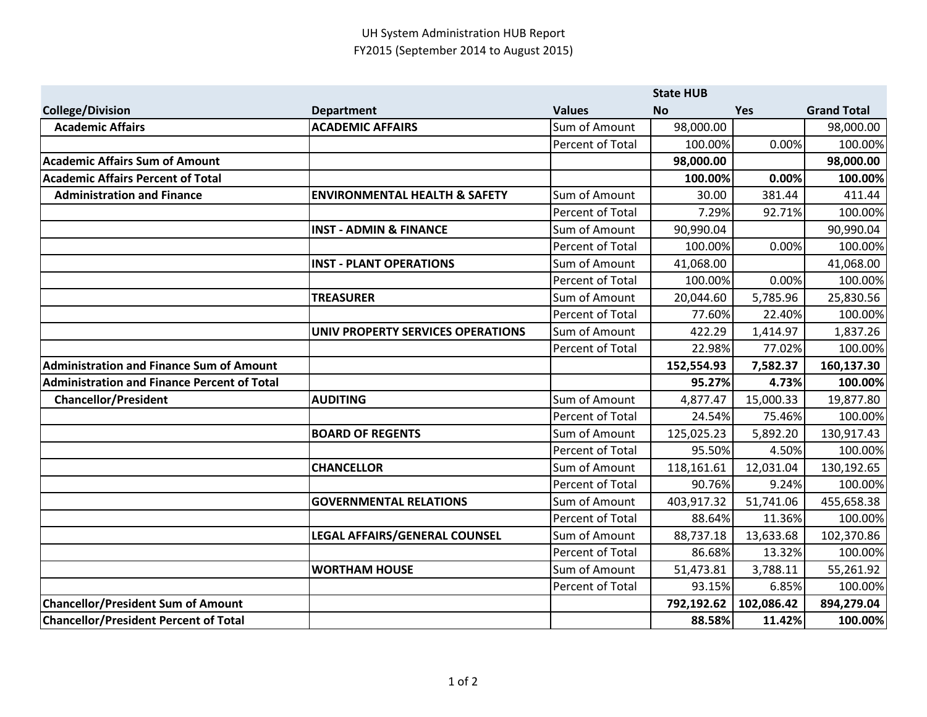|                                                    |                                          | <b>State HUB</b> |            |            |                    |
|----------------------------------------------------|------------------------------------------|------------------|------------|------------|--------------------|
| <b>College/Division</b>                            | <b>Department</b>                        | <b>Values</b>    | <b>No</b>  | Yes        | <b>Grand Total</b> |
| <b>Academic Affairs</b>                            | <b>ACADEMIC AFFAIRS</b>                  | Sum of Amount    | 98,000.00  |            | 98,000.00          |
|                                                    |                                          | Percent of Total | 100.00%    | 0.00%      | 100.00%            |
| <b>Academic Affairs Sum of Amount</b>              |                                          |                  | 98,000.00  |            | 98,000.00          |
| <b>Academic Affairs Percent of Total</b>           |                                          |                  | 100.00%    | 0.00%      | 100.00%            |
| <b>Administration and Finance</b>                  | <b>ENVIRONMENTAL HEALTH &amp; SAFETY</b> | Sum of Amount    | 30.00      | 381.44     | 411.44             |
|                                                    |                                          | Percent of Total | 7.29%      | 92.71%     | 100.00%            |
|                                                    | <b>INST - ADMIN &amp; FINANCE</b>        | Sum of Amount    | 90,990.04  |            | 90,990.04          |
|                                                    |                                          | Percent of Total | 100.00%    | 0.00%      | 100.00%            |
|                                                    | <b>INST - PLANT OPERATIONS</b>           | Sum of Amount    | 41,068.00  |            | 41,068.00          |
|                                                    |                                          | Percent of Total | 100.00%    | 0.00%      | 100.00%            |
|                                                    | <b>TREASURER</b>                         | Sum of Amount    | 20,044.60  | 5,785.96   | 25,830.56          |
|                                                    |                                          | Percent of Total | 77.60%     | 22.40%     | 100.00%            |
|                                                    | <b>UNIV PROPERTY SERVICES OPERATIONS</b> | Sum of Amount    | 422.29     | 1,414.97   | 1,837.26           |
|                                                    |                                          | Percent of Total | 22.98%     | 77.02%     | 100.00%            |
| <b>Administration and Finance Sum of Amount</b>    |                                          |                  | 152,554.93 | 7,582.37   | 160,137.30         |
| <b>Administration and Finance Percent of Total</b> |                                          |                  | 95.27%     | 4.73%      | 100.00%            |
| <b>Chancellor/President</b>                        | <b>AUDITING</b>                          | Sum of Amount    | 4,877.47   | 15,000.33  | 19,877.80          |
|                                                    |                                          | Percent of Total | 24.54%     | 75.46%     | 100.00%            |
|                                                    | <b>BOARD OF REGENTS</b>                  | Sum of Amount    | 125,025.23 | 5,892.20   | 130,917.43         |
|                                                    |                                          | Percent of Total | 95.50%     | 4.50%      | 100.00%            |
|                                                    | <b>CHANCELLOR</b>                        | Sum of Amount    | 118,161.61 | 12,031.04  | 130,192.65         |
|                                                    |                                          | Percent of Total | 90.76%     | 9.24%      | 100.00%            |
|                                                    | <b>GOVERNMENTAL RELATIONS</b>            | Sum of Amount    | 403,917.32 | 51,741.06  | 455,658.38         |
|                                                    |                                          | Percent of Total | 88.64%     | 11.36%     | 100.00%            |
|                                                    | LEGAL AFFAIRS/GENERAL COUNSEL            | Sum of Amount    | 88,737.18  | 13,633.68  | 102,370.86         |
|                                                    |                                          | Percent of Total | 86.68%     | 13.32%     | 100.00%            |
|                                                    | <b>WORTHAM HOUSE</b>                     | Sum of Amount    | 51,473.81  | 3,788.11   | 55,261.92          |
|                                                    |                                          | Percent of Total | 93.15%     | 6.85%      | 100.00%            |
| <b>Chancellor/President Sum of Amount</b>          |                                          |                  | 792,192.62 | 102,086.42 | 894,279.04         |
| <b>Chancellor/President Percent of Total</b>       |                                          |                  | 88.58%     | 11.42%     | 100.00%            |